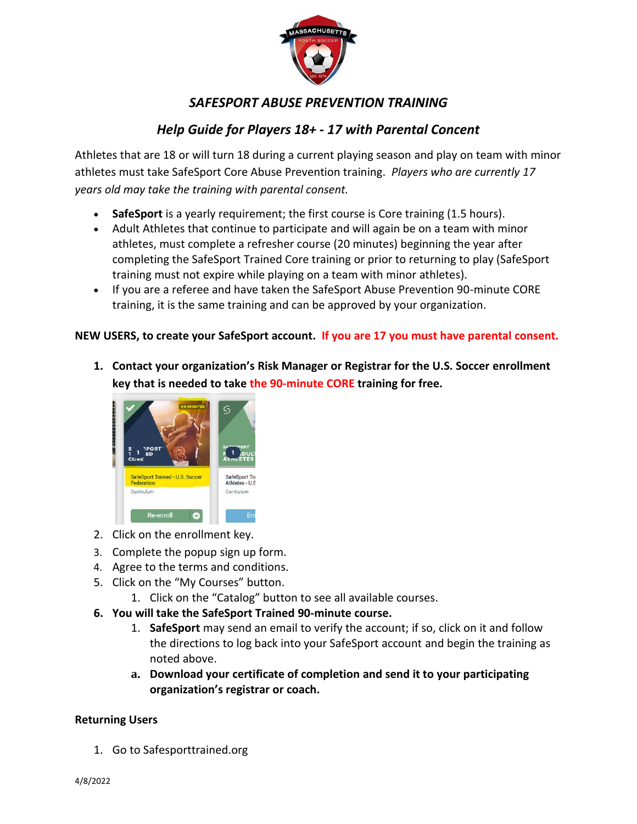

## *SAFESPORT ABUSE PREVENTION TRAINING*

## *Help Guide for Players 18+ - 17 with Parental Concent*

Athletes that are 18 or will turn 18 during a current playing season and play on team with minor athletes must take SafeSport Core Abuse Prevention training. *Players who are currently 17 years old may take the training with parental consent.*

- **SafeSport** is a yearly requirement; the first course is Core training (1.5 hours).
- Adult Athletes that continue to participate and will again be on a team with minor athletes, must complete a refresher course (20 minutes) beginning the year after completing the SafeSport Trained Core training or prior to returning to play (SafeSport training must not expire while playing on a team with minor athletes).
- If you are a referee and have taken the SafeSport Abuse Prevention 90-minute CORE training, it is the same training and can be approved by your organization.

## **NEW USERS, to create your SafeSport account. If you are 17 you must have parental consent.**

**1. Contact your organization's Risk Manager or Registrar for the U.S. Soccer enrollment key that is needed to take the 90-minute CORE training for free.**



- 2. Click on the enrollment key.
- 3. Complete the popup sign up form.
- 4. Agree to the terms and conditions.
- 5. Click on the "My Courses" button.
	- 1. Click on the "Catalog" button to see all available courses.
- **6. You will take the SafeSport Trained 90-minute course.**
	- 1. **SafeSport** may send an email to verify the account; if so, click on it and follow the directions to log back into your SafeSport account and begin the training as noted above.
	- **a. Download your certificate of completion and send it to your participating organization's registrar or coach.**

## **Returning Users**

1. Go to Safesporttrained.org